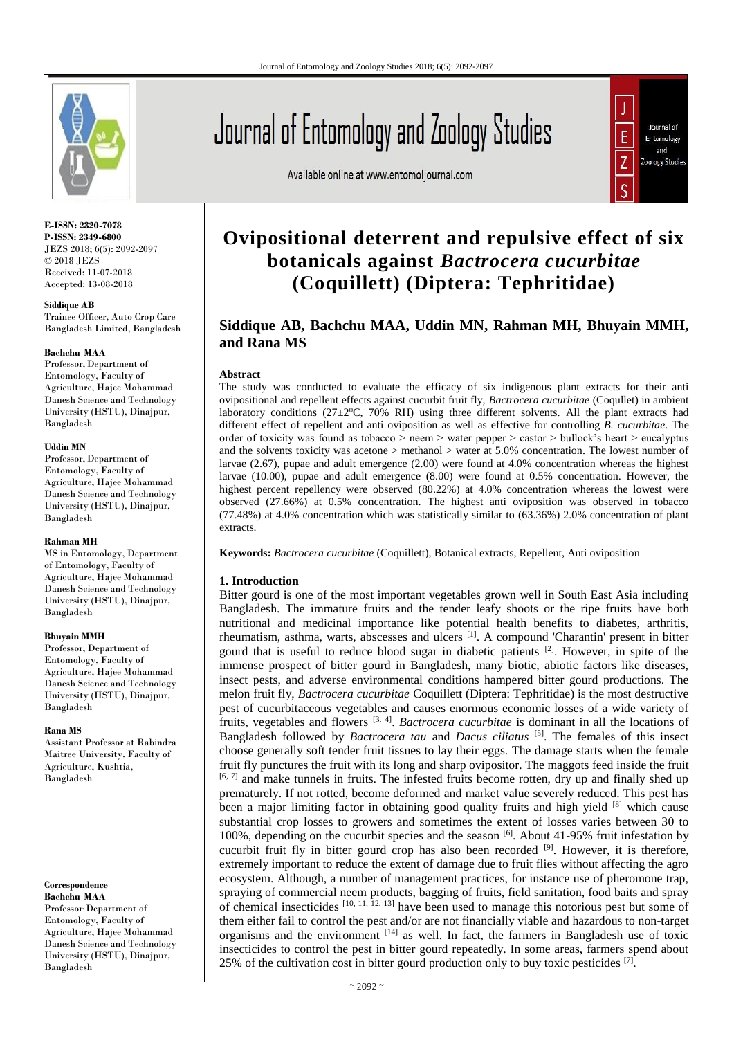

**E-ISSN: 2320-7078 P-ISSN: 2349-6800** JEZS 2018; 6(5): 2092-2097 © 2018 JEZS Received: 11-07-2018 Accepted: 13-08-2018

#### **Siddique AB**

Trainee Officer, Auto Crop Care Bangladesh Limited, Bangladesh

#### **Bachchu MAA**

Professor,Department of Entomology, Faculty of Agriculture, Hajee Mohammad Danesh Science and Technology University (HSTU), Dinajpur, Bangladesh

#### **Uddin MN**

Professor,Department of Entomology, Faculty of Agriculture, Hajee Mohammad Danesh Science and Technology University (HSTU), Dinajpur, Bangladesh

#### **Rahman MH**

MS in Entomology, Department of Entomology, Faculty of Agriculture, Hajee Mohammad Danesh Science and Technology University (HSTU), Dinajpur, Bangladesh

#### **Bhuyain MMH**

Professor, Department of Entomology, Faculty of Agriculture, Hajee Mohammad Danesh Science and Technology University (HSTU), Dinajpur, Bangladesh

#### **Rana MS**

Assistant Professor at Rabindra Maitree University, Faculty of Agriculture, Kushtia, Bangladesh

# **Correspondence**

**Bachchu MAA** Professor, Department of Entomology, Faculty of Agriculture, Hajee Mohammad Danesh Science and Technology University (HSTU), Dinajpur, Bangladesh

Available online at www.entomoljournal.com



# **Ovipositional deterrent and repulsive effect of six botanicals against** *Bactrocera cucurbitae* **(Coquillett) (Diptera: Tephritidae)**

# **Siddique AB, Bachchu MAA, Uddin MN, Rahman MH, Bhuyain MMH, and Rana MS**

#### **Abstract**

The study was conducted to evaluate the efficacy of six indigenous plant extracts for their anti ovipositional and repellent effects against cucurbit fruit fly, *Bactrocera cucurbitae* (Coqullet) in ambient laboratory conditions  $(27\pm2^0C, 70\%$  RH) using three different solvents. All the plant extracts had different effect of repellent and anti oviposition as well as effective for controlling *B. cucurbitae*. The order of toxicity was found as tobacco > neem > water pepper > castor > bullock's heart > eucalyptus and the solvents toxicity was acetone > methanol > water at 5.0% concentration. The lowest number of larvae (2.67), pupae and adult emergence (2.00) were found at 4.0% concentration whereas the highest larvae (10.00), pupae and adult emergence (8.00) were found at 0.5% concentration. However, the highest percent repellency were observed (80.22%) at 4.0% concentration whereas the lowest were observed (27.66%) at 0.5% concentration. The highest anti oviposition was observed in tobacco (77.48%) at 4.0% concentration which was statistically similar to (63.36%) 2.0% concentration of plant extracts.

**Keywords:** *Bactrocera cucurbitae* (Coquillett), Botanical extracts, Repellent, Anti oviposition

#### **1. Introduction**

Bitter gourd is one of the most important vegetables grown well in South East Asia including Bangladesh. The immature fruits and the tender leafy shoots or the ripe fruits have both nutritional and medicinal importance like potential health benefits to diabetes, arthritis, rheumatism, asthma, warts, abscesses and ulcers [1]. A compound 'Charantin' present in bitter gourd that is useful to reduce blood sugar in diabetic patients  $[2]$ . However, in spite of the immense prospect of bitter gourd in Bangladesh, many biotic, abiotic factors like diseases, insect pests, and adverse environmental conditions hampered bitter gourd productions. The melon fruit fly, *Bactrocera cucurbitae* Coquillett (Diptera: Tephritidae) is the most destructive pest of cucurbitaceous vegetables and causes enormous economic losses of a wide variety of fruits, vegetables and flowers [3, 4] . *Bactrocera cucurbitae* is dominant in all the locations of Bangladesh followed by *Bactrocera tau* and *Dacus ciliatus* [5]. The females of this insect choose generally soft tender fruit tissues to lay their eggs. The damage starts when the female fruit fly punctures the fruit with its long and sharp ovipositor. The maggots feed inside the fruit [6, 7] and make tunnels in fruits. The infested fruits become rotten, dry up and finally shed up prematurely. If not rotted, become deformed and market value severely reduced. This pest has been a major limiting factor in obtaining good quality fruits and high yield [8] which cause substantial crop losses to growers and sometimes the extent of losses varies between 30 to 100%, depending on the cucurbit species and the season  $\frac{6}{10}$ . About 41-95% fruit infestation by cucurbit fruit fly in bitter gourd crop has also been recorded  $[9]$ . However, it is therefore, extremely important to reduce the extent of damage due to fruit flies without affecting the agro ecosystem. Although, a number of management practices, for instance use of pheromone trap, spraying of commercial neem products, bagging of fruits, field sanitation, food baits and spray of chemical insecticides  $[10, 11, 12, 13]$  have been used to manage this notorious pest but some of them either fail to control the pest and/or are not financially viable and hazardous to non-target organisms and the environment  $[14]$  as well. In fact, the farmers in Bangladesh use of toxic insecticides to control the pest in bitter gourd repeatedly. In some areas, farmers spend about 25% of the cultivation cost in bitter gourd production only to buy toxic pesticides  $[7]$ .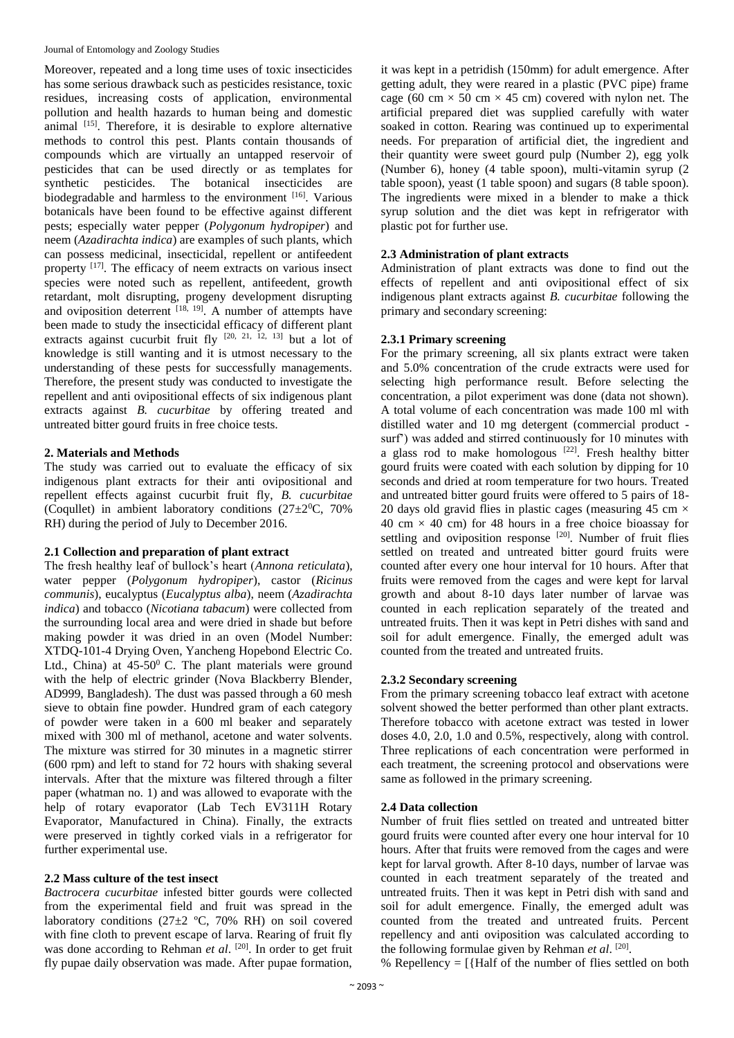Moreover, repeated and a long time uses of toxic insecticides has some serious drawback such as pesticides resistance, toxic residues, increasing costs of application, environmental pollution and health hazards to human being and domestic animal  $[15]$ . Therefore, it is desirable to explore alternative methods to control this pest. Plants contain thousands of compounds which are virtually an untapped reservoir of pesticides that can be used directly or as templates for synthetic pesticides. The botanical insecticides are biodegradable and harmless to the environment [16]. Various botanicals have been found to be effective against different pests; especially water pepper (*Polygonum hydropiper*) and neem (*Azadirachta indica*) are examples of such plants, which can possess medicinal, insecticidal, repellent or antifeedent property <sup>[17]</sup>. The efficacy of neem extracts on various insect species were noted such as repellent, antifeedent, growth retardant, molt disrupting, progeny development disrupting and oviposition deterrent  $[18, 19]$ . A number of attempts have been made to study the insecticidal efficacy of different plant extracts against cucurbit fruit fly  $[20, 21, 12, 13]$  but a lot of knowledge is still wanting and it is utmost necessary to the understanding of these pests for successfully managements. Therefore, the present study was conducted to investigate the repellent and anti ovipositional effects of six indigenous plant extracts against *B. cucurbitae* by offering treated and untreated bitter gourd fruits in free choice tests.

## **2. Materials and Methods**

The study was carried out to evaluate the efficacy of six indigenous plant extracts for their anti ovipositional and repellent effects against cucurbit fruit fly, *B. cucurbitae*  (Coquilet) in ambient laboratory conditions  $(27\pm2\degree C, 70\%$ RH) during the period of July to December 2016.

## **2.1 Collection and preparation of plant extract**

The fresh healthy leaf of bullock's heart (*Annona reticulata*), water pepper (*Polygonum hydropiper*), castor (*Ricinus communis*), eucalyptus (*Eucalyptus alba*), neem (*Azadirachta indica*) and tobacco (*Nicotiana tabacum*) were collected from the surrounding local area and were dried in shade but before making powder it was dried in an oven (Model Number: XTDQ-101-4 Drying Oven, Yancheng Hopebond Electric Co. Ltd., China) at  $45-50$ <sup>0</sup> C. The plant materials were ground with the help of electric grinder (Nova Blackberry Blender, AD999, Bangladesh). The dust was passed through a 60 mesh sieve to obtain fine powder. Hundred gram of each category of powder were taken in a 600 ml beaker and separately mixed with 300 ml of methanol, acetone and water solvents. The mixture was stirred for 30 minutes in a magnetic stirrer (600 rpm) and left to stand for 72 hours with shaking several intervals. After that the mixture was filtered through a filter paper (whatman no. 1) and was allowed to evaporate with the help of rotary evaporator (Lab Tech EV311H Rotary Evaporator, Manufactured in China). Finally, the extracts were preserved in tightly corked vials in a refrigerator for further experimental use.

#### **2.2 Mass culture of the test insect**

*Bactrocera cucurbitae* infested bitter gourds were collected from the experimental field and fruit was spread in the laboratory conditions (27±2 ºC, 70% RH) on soil covered with fine cloth to prevent escape of larva. Rearing of fruit fly was done according to Rehman *et al.* <sup>[20]</sup>. In order to get fruit fly pupae daily observation was made. After pupae formation,

it was kept in a petridish (150mm) for adult emergence. After getting adult, they were reared in a plastic (PVC pipe) frame cage (60 cm  $\times$  50 cm  $\times$  45 cm) covered with nylon net. The artificial prepared diet was supplied carefully with water soaked in cotton. Rearing was continued up to experimental needs. For preparation of artificial diet, the ingredient and their quantity were sweet gourd pulp (Number 2), egg yolk (Number 6), honey (4 table spoon), multi-vitamin syrup (2 table spoon), yeast (1 table spoon) and sugars (8 table spoon). The ingredients were mixed in a blender to make a thick syrup solution and the diet was kept in refrigerator with plastic pot for further use.

### **2.3 Administration of plant extracts**

Administration of plant extracts was done to find out the effects of repellent and anti ovipositional effect of six indigenous plant extracts against *B. cucurbitae* following the primary and secondary screening:

#### **2.3.1 Primary screening**

For the primary screening, all six plants extract were taken and 5.0% concentration of the crude extracts were used for selecting high performance result. Before selecting the concentration, a pilot experiment was done (data not shown). A total volume of each concentration was made 100 ml with distilled water and 10 mg detergent (commercial product surf') was added and stirred continuously for 10 minutes with a glass rod to make homologous  $[22]$ . Fresh healthy bitter gourd fruits were coated with each solution by dipping for 10 seconds and dried at room temperature for two hours. Treated and untreated bitter gourd fruits were offered to 5 pairs of 18- 20 days old gravid flies in plastic cages (measuring 45 cm  $\times$ 40 cm  $\times$  40 cm) for 48 hours in a free choice bioassay for settling and oviposition response<sup>[20]</sup>. Number of fruit flies settled on treated and untreated bitter gourd fruits were counted after every one hour interval for 10 hours. After that fruits were removed from the cages and were kept for larval growth and about 8-10 days later number of larvae was counted in each replication separately of the treated and untreated fruits. Then it was kept in Petri dishes with sand and soil for adult emergence. Finally, the emerged adult was counted from the treated and untreated fruits.

## **2.3.2 Secondary screening**

From the primary screening tobacco leaf extract with acetone solvent showed the better performed than other plant extracts. Therefore tobacco with acetone extract was tested in lower doses 4.0, 2.0, 1.0 and 0.5%, respectively, along with control. Three replications of each concentration were performed in each treatment, the screening protocol and observations were same as followed in the primary screening.

#### **2.4 Data collection**

Number of fruit flies settled on treated and untreated bitter gourd fruits were counted after every one hour interval for 10 hours. After that fruits were removed from the cages and were kept for larval growth. After 8-10 days, number of larvae was counted in each treatment separately of the treated and untreated fruits. Then it was kept in Petri dish with sand and soil for adult emergence. Finally, the emerged adult was counted from the treated and untreated fruits. Percent repellency and anti oviposition was calculated according to the following formulae given by Rehman et al. [20].

% Repellency  $=$  [{Half of the number of flies settled on both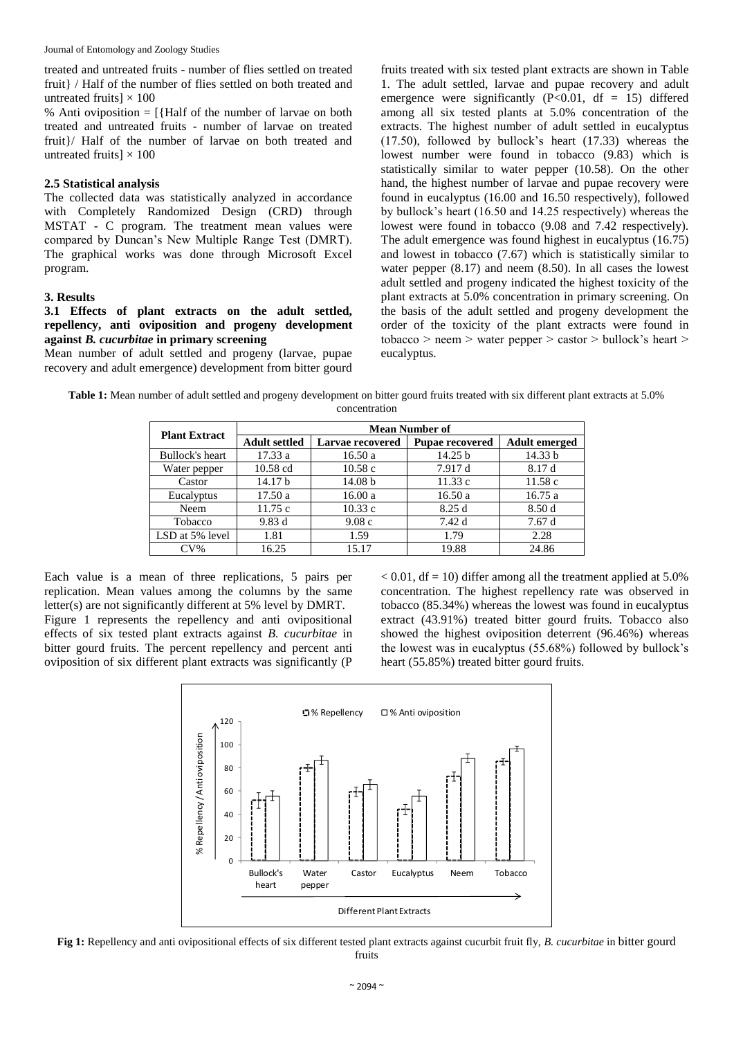treated and untreated fruits - number of flies settled on treated fruit} / Half of the number of flies settled on both treated and untreated fruits]  $\times$  100

% Anti oviposition  $=$  [{Half of the number of larvae on both treated and untreated fruits - number of larvae on treated fruit}/ Half of the number of larvae on both treated and untreated fruits]  $\times$  100

#### **2.5 Statistical analysis**

The collected data was statistically analyzed in accordance with Completely Randomized Design (CRD) through MSTAT - C program. The treatment mean values were compared by Duncan's New Multiple Range Test (DMRT). The graphical works was done through Microsoft Excel program.

#### **3. Results**

### **3.1 Effects of plant extracts on the adult settled, repellency, anti oviposition and progeny development against** *B. cucurbitae* **in primary screening**

Mean number of adult settled and progeny (larvae, pupae recovery and adult emergence) development from bitter gourd fruits treated with six tested plant extracts are shown in Table 1. The adult settled, larvae and pupae recovery and adult emergence were significantly  $(P<0.01$ , df = 15) differed among all six tested plants at 5.0% concentration of the extracts. The highest number of adult settled in eucalyptus (17.50), followed by bullock's heart (17.33) whereas the lowest number were found in tobacco (9.83) which is statistically similar to water pepper (10.58). On the other hand, the highest number of larvae and pupae recovery were found in eucalyptus (16.00 and 16.50 respectively), followed by bullock's heart (16.50 and 14.25 respectively) whereas the lowest were found in tobacco (9.08 and 7.42 respectively). The adult emergence was found highest in eucalyptus (16.75) and lowest in tobacco (7.67) which is statistically similar to water pepper (8.17) and neem (8.50). In all cases the lowest adult settled and progeny indicated the highest toxicity of the plant extracts at 5.0% concentration in primary screening. On the basis of the adult settled and progeny development the order of the toxicity of the plant extracts were found in  $tobacco$  > neem > water pepper > castor > bullock's heart > eucalyptus.

| Table 1: Mean number of adult settled and progeny development on bitter gourd fruits treated with six different plant extracts at 5.0% |  |
|----------------------------------------------------------------------------------------------------------------------------------------|--|
| concentration                                                                                                                          |  |

| <b>Plant Extract</b> | <b>Mean Number of</b>                                              |                    |                      |         |  |  |  |
|----------------------|--------------------------------------------------------------------|--------------------|----------------------|---------|--|--|--|
|                      | <b>Adult settled</b><br>Larvae recovered<br><b>Pupae recovered</b> |                    | <b>Adult emerged</b> |         |  |  |  |
| Bullock's heart      | 17.33a                                                             | 16.50a             | 14.25 b              | 14.33 b |  |  |  |
| Water pepper         | 10.58 cd<br>10.58c<br>7.917 d                                      |                    |                      | 8.17 d  |  |  |  |
| Castor               | 14.17 <sub>b</sub>                                                 | 14.08 <sub>b</sub> | 11.33c               | 11.58c  |  |  |  |
| Eucalyptus           | 17.50a                                                             | 16.00a<br>16.50a   |                      | 16.75a  |  |  |  |
| Neem                 | 11.75c                                                             | 10.33c             | 8.25d                | 8.50d   |  |  |  |
| Tobacco              | 9.83 d                                                             | 9.08c              | 7.42 d               | 7.67d   |  |  |  |
| LSD at 5% level      | 1.81                                                               | 1.59               | 1.79                 | 2.28    |  |  |  |
| $CV\%$               | 16.25                                                              | 15.17              | 19.88                | 24.86   |  |  |  |

Each value is a mean of three replications, 5 pairs per replication. Mean values among the columns by the same letter(s) are not significantly different at 5% level by DMRT. Figure 1 represents the repellency and anti ovipositional effects of six tested plant extracts against *B. cucurbitae* in bitter gourd fruits. The percent repellency and percent anti oviposition of six different plant extracts was significantly (P  $< 0.01$ , df = 10) differ among all the treatment applied at 5.0% concentration. The highest repellency rate was observed in tobacco (85.34%) whereas the lowest was found in eucalyptus extract (43.91%) treated bitter gourd fruits. Tobacco also showed the highest oviposition deterrent (96.46%) whereas the lowest was in eucalyptus (55.68%) followed by bullock's heart (55.85%) treated bitter gourd fruits.



**Fig 1:** Repellency and anti ovipositional effects of six different tested plant extracts against cucurbit fruit fly, *B. cucurbitae* in bitter gourd fruits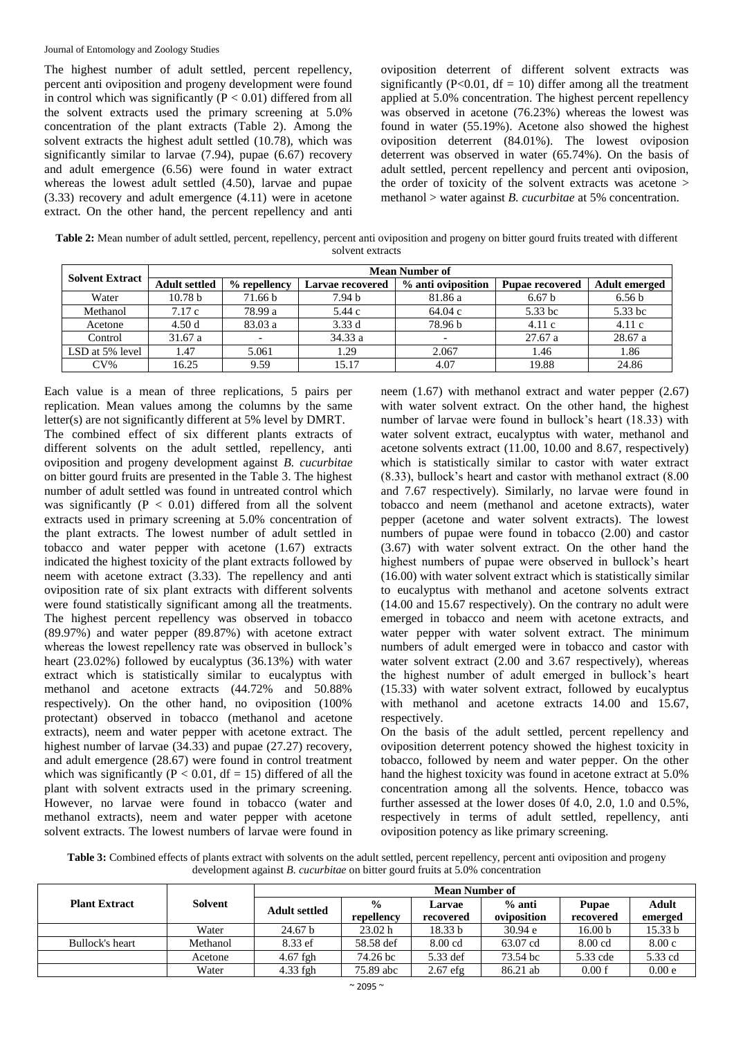The highest number of adult settled, percent repellency, percent anti oviposition and progeny development were found in control which was significantly  $(P < 0.01)$  differed from all the solvent extracts used the primary screening at 5.0% concentration of the plant extracts (Table 2). Among the solvent extracts the highest adult settled (10.78), which was significantly similar to larvae (7.94), pupae (6.67) recovery and adult emergence (6.56) were found in water extract whereas the lowest adult settled (4.50), larvae and pupae (3.33) recovery and adult emergence (4.11) were in acetone extract. On the other hand, the percent repellency and anti oviposition deterrent of different solvent extracts was significantly ( $P<0.01$ ,  $df = 10$ ) differ among all the treatment applied at 5.0% concentration. The highest percent repellency was observed in acetone (76.23%) whereas the lowest was found in water (55.19%). Acetone also showed the highest oviposition deterrent (84.01%). The lowest oviposion deterrent was observed in water (65.74%). On the basis of adult settled, percent repellency and percent anti oviposion, the order of toxicity of the solvent extracts was acetone > methanol > water against *B. cucurbitae* at 5% concentration.

**Table 2:** Mean number of adult settled, percent, repellency, percent anti oviposition and progeny on bitter gourd fruits treated with different solvent extracts

| <b>Solvent Extract</b> | <b>Mean Number of</b> |              |                  |                    |                        |                      |  |  |
|------------------------|-----------------------|--------------|------------------|--------------------|------------------------|----------------------|--|--|
|                        | <b>Adult settled</b>  | % repellency | Larvae recovered | % anti oviposition | <b>Pupae recovered</b> | <b>Adult emerged</b> |  |  |
| Water                  | 10.78 <sub>b</sub>    | 71.66 b      | 7.94 b           | 81.86 a            | 6.67 <sub>b</sub>      | 6.56 <sub>b</sub>    |  |  |
| Methanol               | 7.17 c                | 78.99 a      | 5.44 c           | 64.04 c            | 5.33 bc                | 5.33 bc              |  |  |
| Acetone                | 4.50d                 | 83.03a       | 3.33d            | 78.96 b            | 4.11c                  | 4.11c                |  |  |
| Control                | 31.67a                |              | 34.33 a          |                    | 27.67a                 | 28.67 a              |  |  |
| LSD at 5% level        | 1.47                  | 5.061        | 1.29             | 2.067              | 1.46                   | 1.86                 |  |  |
| $CV\%$                 | 16.25                 | 9.59         | 15.17            | 4.07               | 19.88                  | 24.86                |  |  |

Each value is a mean of three replications, 5 pairs per replication. Mean values among the columns by the same letter(s) are not significantly different at 5% level by DMRT. The combined effect of six different plants extracts of different solvents on the adult settled, repellency, anti oviposition and progeny development against *B. cucurbitae* on bitter gourd fruits are presented in the Table 3. The highest number of adult settled was found in untreated control which was significantly  $(P < 0.01)$  differed from all the solvent extracts used in primary screening at 5.0% concentration of the plant extracts. The lowest number of adult settled in tobacco and water pepper with acetone (1.67) extracts indicated the highest toxicity of the plant extracts followed by neem with acetone extract (3.33). The repellency and anti oviposition rate of six plant extracts with different solvents were found statistically significant among all the treatments. The highest percent repellency was observed in tobacco (89.97%) and water pepper (89.87%) with acetone extract whereas the lowest repellency rate was observed in bullock's heart (23.02%) followed by eucalyptus (36.13%) with water extract which is statistically similar to eucalyptus with methanol and acetone extracts (44.72% and 50.88% respectively). On the other hand, no oviposition (100% protectant) observed in tobacco (methanol and acetone extracts), neem and water pepper with acetone extract. The highest number of larvae (34.33) and pupae (27.27) recovery, and adult emergence (28.67) were found in control treatment which was significantly ( $P < 0.01$ , df = 15) differed of all the plant with solvent extracts used in the primary screening. However, no larvae were found in tobacco (water and methanol extracts), neem and water pepper with acetone solvent extracts. The lowest numbers of larvae were found in

neem (1.67) with methanol extract and water pepper (2.67) with water solvent extract. On the other hand, the highest number of larvae were found in bullock's heart (18.33) with water solvent extract, eucalyptus with water, methanol and acetone solvents extract (11.00, 10.00 and 8.67, respectively) which is statistically similar to castor with water extract (8.33), bullock's heart and castor with methanol extract (8.00 and 7.67 respectively). Similarly, no larvae were found in tobacco and neem (methanol and acetone extracts), water pepper (acetone and water solvent extracts). The lowest numbers of pupae were found in tobacco (2.00) and castor (3.67) with water solvent extract. On the other hand the highest numbers of pupae were observed in bullock's heart (16.00) with water solvent extract which is statistically similar to eucalyptus with methanol and acetone solvents extract (14.00 and 15.67 respectively). On the contrary no adult were emerged in tobacco and neem with acetone extracts, and water pepper with water solvent extract. The minimum numbers of adult emerged were in tobacco and castor with water solvent extract (2.00 and 3.67 respectively), whereas the highest number of adult emerged in bullock's heart (15.33) with water solvent extract, followed by eucalyptus with methanol and acetone extracts 14.00 and 15.67, respectively.

On the basis of the adult settled, percent repellency and oviposition deterrent potency showed the highest toxicity in tobacco, followed by neem and water pepper. On the other hand the highest toxicity was found in acetone extract at 5.0% concentration among all the solvents. Hence, tobacco was further assessed at the lower doses 0f 4.0, 2.0, 1.0 and 0.5%, respectively in terms of adult settled, repellency, anti oviposition potency as like primary screening.

**Table 3:** Combined effects of plants extract with solvents on the adult settled, percent repellency, percent anti oviposition and progeny development against *B. cucurbitae* on bitter gourd fruits at 5.0% concentration

|                      |          | <b>Mean Number of</b> |                             |                     |                         |                           |                  |
|----------------------|----------|-----------------------|-----------------------------|---------------------|-------------------------|---------------------------|------------------|
| <b>Plant Extract</b> | Solvent  | <b>Adult settled</b>  | $\frac{0}{0}$<br>repellency | Larvae<br>recovered | $%$ anti<br>oviposition | <b>Pupae</b><br>recovered | Adult<br>emerged |
|                      | Water    | 24.67 <sub>b</sub>    | 23.02 h                     | 18.33 b             | 30.94 e                 | 16.00 <sub>b</sub>        | 15.33 b          |
| Bullock's heart      | Methanol | 8.33 ef               | 58.58 def                   | $8.00$ cd           | 63.07 cd                | $8.00 \text{ cd}$         | 8.00c            |
|                      | Acetone  | $4.67$ fgh            | 74.26 bc                    | 5.33 def            | 73.54 bc                | 5.33 cde                  | 5.33 cd          |
|                      | Water    | $4.33$ fgh            | 75.89 abc                   | $2.67$ efg          | 86.21 ab                | 0.00 f                    | 0.00e            |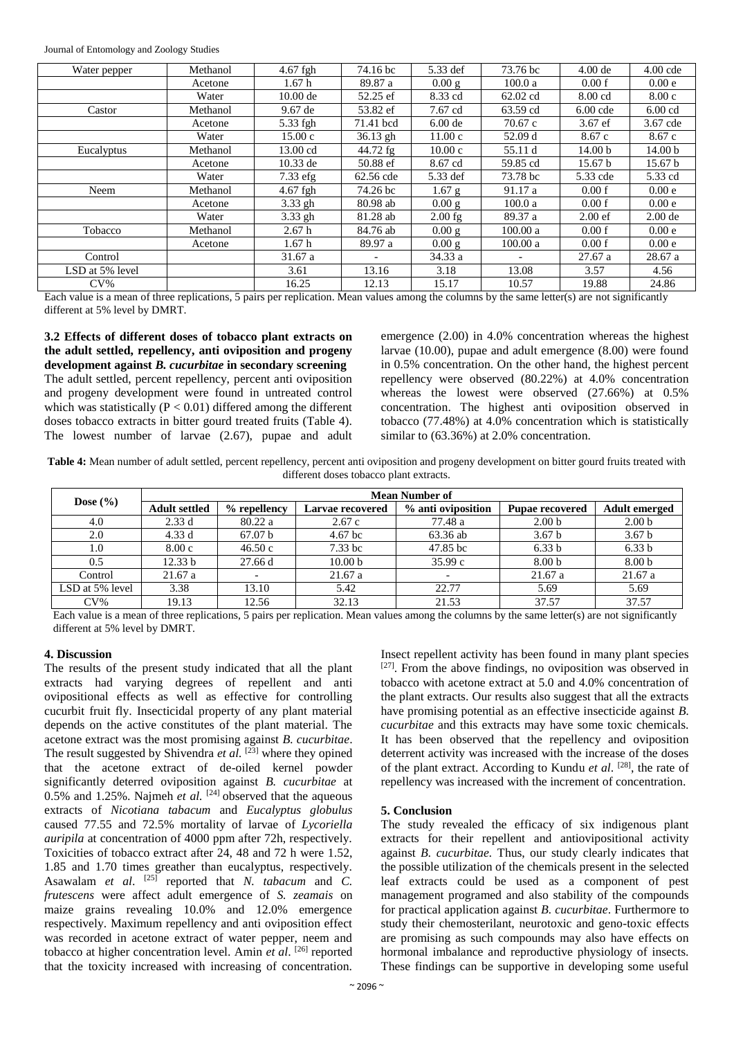Journal of Entomology and Zoology Studies

| Water pepper    | Methanol | 4.67 fgh          | 74.16 bc                 | 5.33 def  | 73.76 bc | $4.00$ de          | $4.00$ cde         |
|-----------------|----------|-------------------|--------------------------|-----------|----------|--------------------|--------------------|
|                 | Acetone  | 1.67 <sub>h</sub> | 89.87 a                  | 0.00 g    | 100.0a   | 0.00 f             | 0.00e              |
|                 | Water    | $10.00$ de        | 52.25 ef                 | 8.33 cd   | 62.02 cd | 8.00 cd            | 8.00c              |
| Castor          | Methanol | $9.67$ de         | 53.82 ef                 | 7.67 cd   | 63.59 cd | $6.00$ cde         | $6.00$ cd          |
|                 | Acetone  | 5.33 fgh          | 71.41 bcd                | $6.00$ de | 70.67c   | $3.67$ ef          | 3.67 cde           |
|                 | Water    | 15.00c            | $36.13$ gh               | 11.00c    | 52.09 d  | 8.67c              | 8.67c              |
| Eucalyptus      | Methanol | 13.00 cd          | 44.72 fg                 | 10.00c    | 55.11 d  | 14.00 <sub>b</sub> | 14.00 <sub>b</sub> |
|                 | Acetone  | $10.33$ de        | 50.88 ef                 | 8.67 cd   | 59.85 cd | 15.67 <sub>b</sub> | 15.67 <sub>b</sub> |
|                 | Water    | $7.33$ efg        | 62.56 cde                | 5.33 def  | 73.78 bc | 5.33 cde           | 5.33 cd            |
| Neem            | Methanol | 4.67 fgh          | 74.26 bc                 | $1.67$ g  | 91.17 a  | 0.00 f             | 0.00e              |
|                 | Acetone  | $3.33$ gh         | 80.98 ab                 | 0.00 g    | 100.0a   | 0.00 f             | 0.00e              |
|                 | Water    | 3.33 gh           | 81.28 ab                 | $2.00$ fg | 89.37 a  | $2.00$ ef          | $2.00$ de          |
| Tobacco         | Methanol | 2.67h             | 84.76 ab                 | 0.00 g    | 100.00 a | 0.00 f             | 0.00e              |
|                 | Acetone  | 1.67h             | 89.97 a                  | 0.00 g    | 100.00 a | 0.00 f             | 0.00e              |
| Control         |          | 31.67 a           | $\overline{\phantom{a}}$ | 34.33a    |          | 27.67a             | 28.67a             |
| LSD at 5% level |          | 3.61              | 13.16                    | 3.18      | 13.08    | 3.57               | 4.56               |
| $CV\%$          |          | 16.25             | 12.13                    | 15.17     | 10.57    | 19.88              | 24.86              |

Each value is a mean of three replications, 5 pairs per replication. Mean values among the columns by the same letter(s) are not significantly different at 5% level by DMRT.

**3.2 Effects of different doses of tobacco plant extracts on the adult settled, repellency, anti oviposition and progeny development against** *B. cucurbitae* **in secondary screening** The adult settled, percent repellency, percent anti oviposition and progeny development were found in untreated control which was statistically ( $P < 0.01$ ) differed among the different doses tobacco extracts in bitter gourd treated fruits (Table 4). The lowest number of larvae (2.67), pupae and adult emergence (2.00) in 4.0% concentration whereas the highest larvae (10.00), pupae and adult emergence (8.00) were found in 0.5% concentration. On the other hand, the highest percent repellency were observed (80.22%) at 4.0% concentration whereas the lowest were observed (27.66%) at 0.5% concentration. The highest anti oviposition observed in tobacco (77.48%) at 4.0% concentration which is statistically similar to  $(63.36%)$  at 2.0% concentration.

**Table 4:** Mean number of adult settled, percent repellency, percent anti oviposition and progeny development on bitter gourd fruits treated with different doses tobacco plant extracts.

| Dose $(\% )$    | <b>Mean Number of</b> |              |                    |                    |                        |                      |  |  |
|-----------------|-----------------------|--------------|--------------------|--------------------|------------------------|----------------------|--|--|
|                 | <b>Adult settled</b>  | % repellency | Larvae recovered   | % anti oviposition | <b>Pupae recovered</b> | <b>Adult emerged</b> |  |  |
| 4.0             | 2.33d                 | 80.22a       | 2.67c              | 77.48 a            | 2.00 <sub>b</sub>      | 2.00 <sub>b</sub>    |  |  |
| 2.0             | 4.33d                 | 67.07 b      | $4.67$ bc          | 63.36 ab           | 3.67 <sub>b</sub>      | 3.67 <sub>b</sub>    |  |  |
| 1.0             | 8.00c                 | 46.50c       | $7.33$ bc          | 47.85 bc           | 6.33 b                 | 6.33 <sub>b</sub>    |  |  |
| 0.5             | 12.33 b               | 27.66 d      | 10.00 <sub>b</sub> | 35.99c             | 8.00 <sub>b</sub>      | 8.00 <sub>b</sub>    |  |  |
| Control         | 21.67a                |              | 21.67a             |                    | 21.67a                 | 21.67a               |  |  |
| LSD at 5% level | 3.38                  | 13.10        | 5.42               | 22.77              | 5.69                   | 5.69                 |  |  |
| $CV\%$          | 19.13                 | 12.56        | 32.13              | 21.53              | 37.57                  | 37.57                |  |  |

Each value is a mean of three replications, 5 pairs per replication. Mean values among the columns by the same letter(s) are not significantly different at 5% level by DMRT.

### **4. Discussion**

The results of the present study indicated that all the plant extracts had varying degrees of repellent and anti ovipositional effects as well as effective for controlling cucurbit fruit fly. Insecticidal property of any plant material depends on the active constitutes of the plant material. The acetone extract was the most promising against *B. cucurbitae*. The result suggested by Shivendra *et al.* [23] where they opined that the acetone extract of de-oiled kernel powder significantly deterred oviposition against *B. cucurbitae* at 0.5% and 1.25%. Najmeh *et al.* [24] observed that the aqueous extracts of *Nicotiana tabacum* and *Eucalyptus globulus*  caused 77.55 and 72.5% mortality of larvae of *Lycoriella auripila* at concentration of 4000 ppm after 72h, respectively. Toxicities of tobacco extract after 24, 48 and 72 h were 1.52, 1.85 and 1.70 times greather than eucalyptus, respectively. Asawalam *et al.* <sup>[25]</sup> reported that *N. tabacum* and *C. frutescens* were affect adult emergence of *S. zeamais* on maize grains revealing 10.0% and 12.0% emergence respectively. Maximum repellency and anti oviposition effect was recorded in acetone extract of water pepper, neem and tobacco at higher concentration level. Amin *et al*. [26] reported that the toxicity increased with increasing of concentration.

Insect repellent activity has been found in many plant species [27]. From the above findings, no oviposition was observed in tobacco with acetone extract at 5.0 and 4.0% concentration of the plant extracts. Our results also suggest that all the extracts have promising potential as an effective insecticide against *B. cucurbitae* and this extracts may have some toxic chemicals. It has been observed that the repellency and oviposition deterrent activity was increased with the increase of the doses of the plant extract. According to Kundu *et al*. [28], the rate of repellency was increased with the increment of concentration.

## **5. Conclusion**

The study revealed the efficacy of six indigenous plant extracts for their repellent and antiovipositional activity against *B. cucurbitae.* Thus, our study clearly indicates that the possible utilization of the chemicals present in the selected leaf extracts could be used as a component of pest management programed and also stability of the compounds for practical application against *B. cucurbitae*. Furthermore to study their chemosterilant, neurotoxic and geno-toxic effects are promising as such compounds may also have effects on hormonal imbalance and reproductive physiology of insects. These findings can be supportive in developing some useful